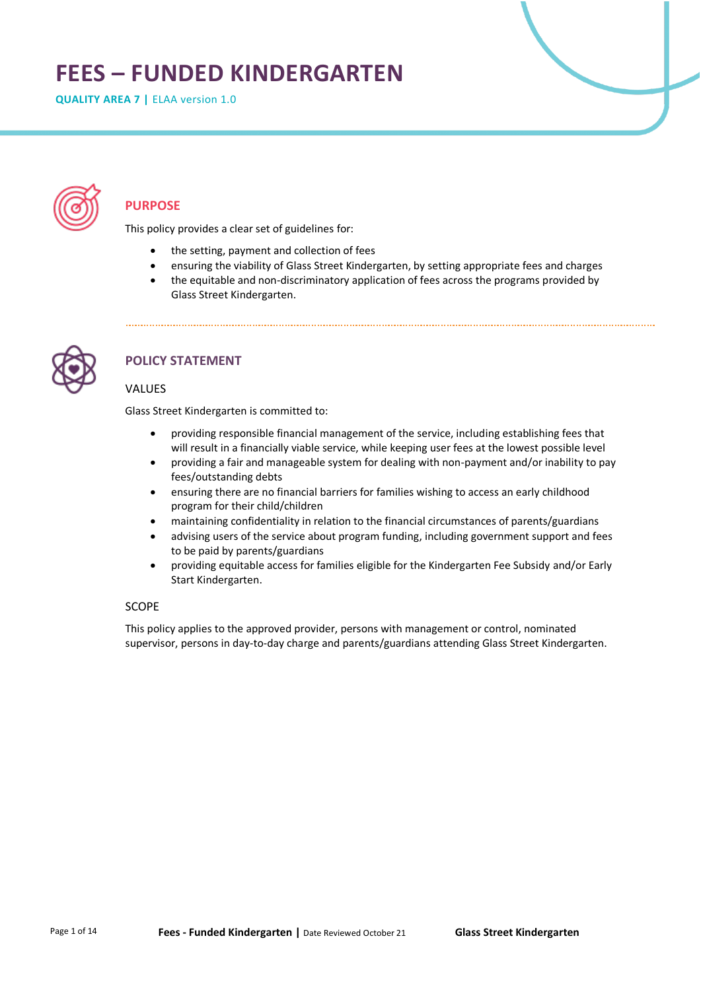# **FEES – FUNDED KINDERGARTEN**

**QUALITY AREA 7 | ELAA version 1.0** 



# **PURPOSE**

This policy provides a clear set of guidelines for:

- the setting, payment and collection of fees
- ensuring the viability of Glass Street Kindergarten, by setting appropriate fees and charges
- the equitable and non-discriminatory application of fees across the programs provided by Glass Street Kindergarten.



# **POLICY STATEMENT**

# VALUES

Glass Street Kindergarten is committed to:

- providing responsible financial management of the service, including establishing fees that will result in a financially viable service, while keeping user fees at the lowest possible level
- providing a fair and manageable system for dealing with non-payment and/or inability to pay fees/outstanding debts
- ensuring there are no financial barriers for families wishing to access an early childhood program for their child/children
- maintaining confidentiality in relation to the financial circumstances of parents/guardians
- advising users of the service about program funding, including government support and fees to be paid by parents/guardians
- providing equitable access for families eligible for the Kindergarten Fee Subsidy and/or Early Start Kindergarten.

# SCOPE

This policy applies to the approved provider, persons with management or control, nominated supervisor, persons in day-to-day charge and parents/guardians attending Glass Street Kindergarten.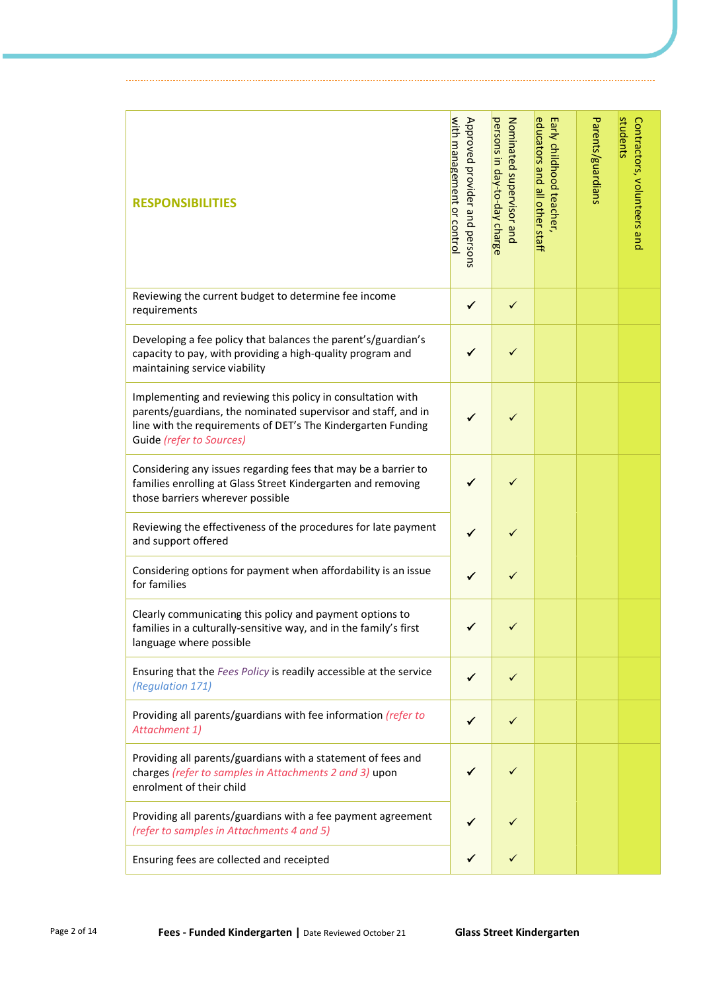| <b>RESPONSIBILITIES</b>                                                                                                                                                                                                  | with management or control<br>Approved provider and persons | persons in day-to-day charge<br>Nominated scheckisor and | educators and all other staff<br>Early childhood teacher, | Parents/guardians | students<br>Contractors, volunteers and |
|--------------------------------------------------------------------------------------------------------------------------------------------------------------------------------------------------------------------------|-------------------------------------------------------------|----------------------------------------------------------|-----------------------------------------------------------|-------------------|-----------------------------------------|
| Reviewing the current budget to determine fee income<br>requirements                                                                                                                                                     | ✓                                                           | ✓                                                        |                                                           |                   |                                         |
| Developing a fee policy that balances the parent's/guardian's<br>capacity to pay, with providing a high-quality program and<br>maintaining service viability                                                             | ✔                                                           | ✓                                                        |                                                           |                   |                                         |
| Implementing and reviewing this policy in consultation with<br>parents/guardians, the nominated supervisor and staff, and in<br>line with the requirements of DET's The Kindergarten Funding<br>Guide (refer to Sources) | ✓                                                           | ✓                                                        |                                                           |                   |                                         |
| Considering any issues regarding fees that may be a barrier to<br>families enrolling at Glass Street Kindergarten and removing<br>those barriers wherever possible                                                       |                                                             | ✓                                                        |                                                           |                   |                                         |
| Reviewing the effectiveness of the procedures for late payment<br>and support offered                                                                                                                                    | ✔                                                           | ✓                                                        |                                                           |                   |                                         |
| Considering options for payment when affordability is an issue<br>for families                                                                                                                                           | ✓                                                           | ✓                                                        |                                                           |                   |                                         |
| Clearly communicating this policy and payment options to<br>families in a culturally-sensitive way, and in the family's first<br>language where possible                                                                 |                                                             | ✓                                                        |                                                           |                   |                                         |
| Ensuring that the Fees Policy is readily accessible at the service<br>(Regulation 171)                                                                                                                                   | ✓                                                           | ✓                                                        |                                                           |                   |                                         |
| Providing all parents/guardians with fee information (refer to<br>Attachment 1)                                                                                                                                          | ✓                                                           | ✓                                                        |                                                           |                   |                                         |
| Providing all parents/guardians with a statement of fees and<br>charges (refer to samples in Attachments 2 and 3) upon<br>enrolment of their child                                                                       |                                                             | ✓                                                        |                                                           |                   |                                         |
| Providing all parents/guardians with a fee payment agreement<br>(refer to samples in Attachments 4 and 5)                                                                                                                | ✓                                                           | ✓                                                        |                                                           |                   |                                         |
| Ensuring fees are collected and receipted                                                                                                                                                                                | ✔                                                           | ✓                                                        |                                                           |                   |                                         |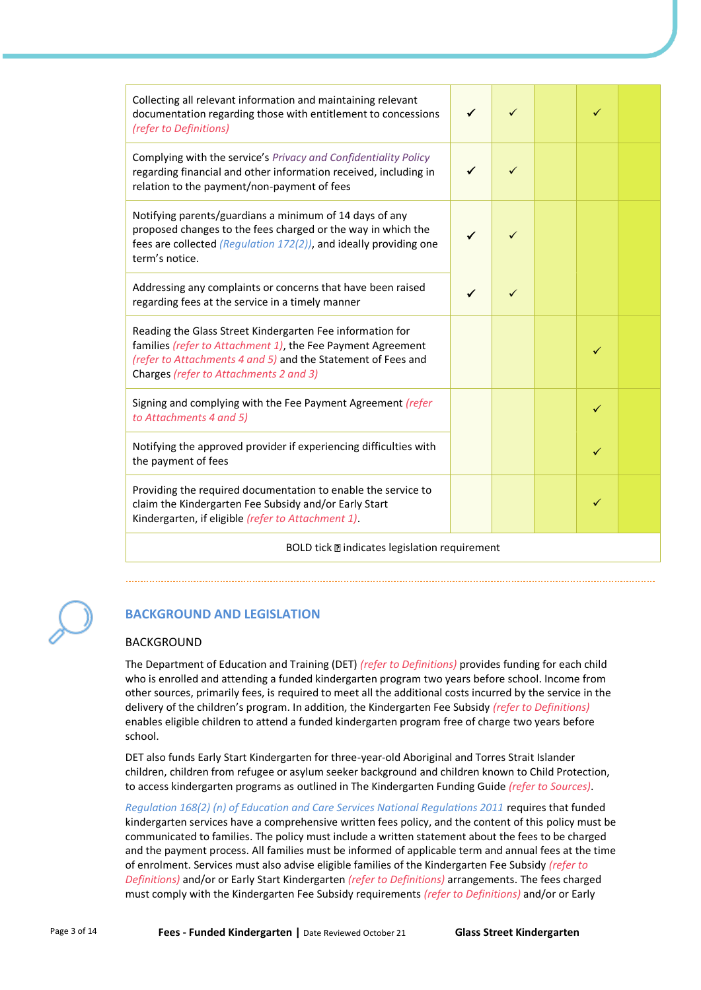| Collecting all relevant information and maintaining relevant<br>documentation regarding those with entitlement to concessions<br>(refer to Definitions)                                                                            |   |   |  | ✓ |  |
|------------------------------------------------------------------------------------------------------------------------------------------------------------------------------------------------------------------------------------|---|---|--|---|--|
| Complying with the service's Privacy and Confidentiality Policy<br>regarding financial and other information received, including in<br>relation to the payment/non-payment of fees                                                 |   | ✓ |  |   |  |
| Notifying parents/guardians a minimum of 14 days of any<br>proposed changes to the fees charged or the way in which the<br>fees are collected (Regulation 172(2)), and ideally providing one<br>term's notice.                     |   |   |  |   |  |
| Addressing any complaints or concerns that have been raised<br>regarding fees at the service in a timely manner                                                                                                                    | ✓ | ✓ |  |   |  |
| Reading the Glass Street Kindergarten Fee information for<br>families (refer to Attachment 1), the Fee Payment Agreement<br>(refer to Attachments 4 and 5) and the Statement of Fees and<br>Charges (refer to Attachments 2 and 3) |   |   |  | ✓ |  |
| Signing and complying with the Fee Payment Agreement (refer<br>to Attachments 4 and 5)                                                                                                                                             |   |   |  | ✓ |  |
| Notifying the approved provider if experiencing difficulties with<br>the payment of fees                                                                                                                                           |   |   |  | ✓ |  |
| Providing the required documentation to enable the service to<br>claim the Kindergarten Fee Subsidy and/or Early Start<br>Kindergarten, if eligible (refer to Attachment 1).                                                       |   |   |  | ✓ |  |
| BOLD tick <b>a</b> indicates legislation requirement                                                                                                                                                                               |   |   |  |   |  |

# **BACKGROUND AND LEGISLATION**

# BACKGROUND

The Department of Education and Training (DET) *(refer to Definitions)* provides funding for each child who is enrolled and attending a funded kindergarten program two years before school. Income from other sources, primarily fees, is required to meet all the additional costs incurred by the service in the delivery of the children's program. In addition, the Kindergarten Fee Subsidy *(refer to Definitions)* enables eligible children to attend a funded kindergarten program free of charge two years before school.

DET also funds Early Start Kindergarten for three-year-old Aboriginal and Torres Strait Islander children, children from refugee or asylum seeker background and children known to Child Protection, to access kindergarten programs as outlined in The Kindergarten Funding Guide *(refer to Sources)*.

*Regulation 168(2) (n) of Education and Care Services National Regulations 2011* requires that funded kindergarten services have a comprehensive written fees policy, and the content of this policy must be communicated to families. The policy must include a written statement about the fees to be charged and the payment process. All families must be informed of applicable term and annual fees at the time of enrolment. Services must also advise eligible families of the Kindergarten Fee Subsidy *(refer to Definitions)* and/or or Early Start Kindergarten *(refer to Definitions)* arrangements. The fees charged must comply with the Kindergarten Fee Subsidy requirements *(refer to Definitions)* and/or or Early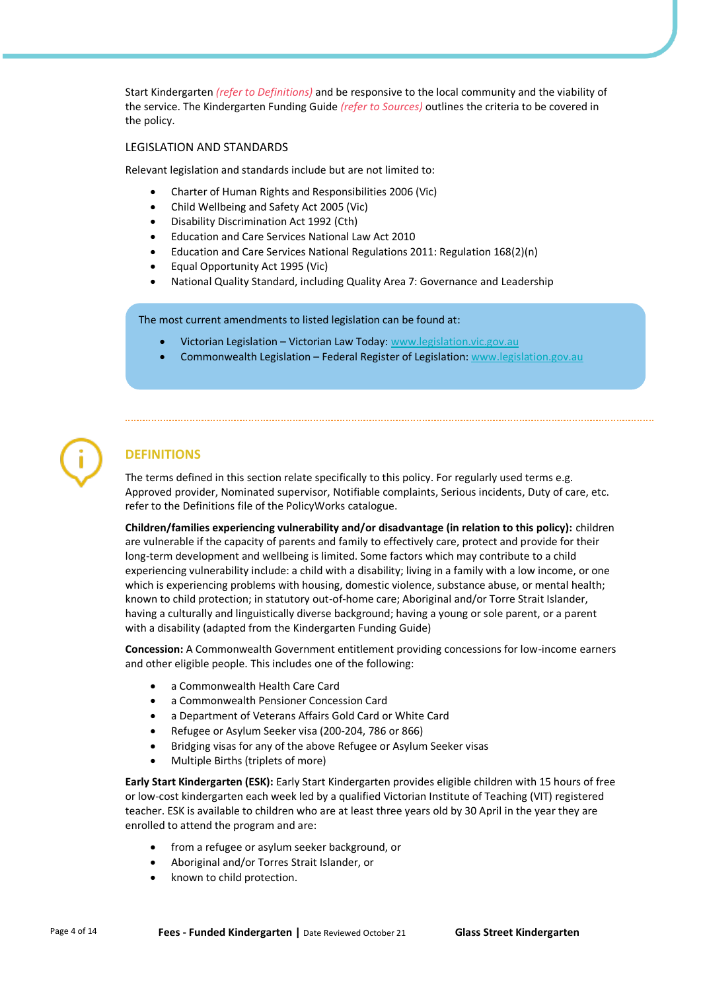Start Kindergarten *(refer to Definitions)* and be responsive to the local community and the viability of the service. The Kindergarten Funding Guide *(refer to Sources)* outlines the criteria to be covered in the policy.

## LEGISLATION AND STANDARDS

Relevant legislation and standards include but are not limited to:

- Charter of Human Rights and Responsibilities 2006 (Vic)
- Child Wellbeing and Safety Act 2005 (Vic)
- Disability Discrimination Act 1992 (Cth)
- Education and Care Services National Law Act 2010
- Education and Care Services National Regulations 2011: Regulation 168(2)(n)
- Equal Opportunity Act 1995 (Vic)
- National Quality Standard, including Quality Area 7: Governance and Leadership

The most current amendments to listed legislation can be found at:

- Victorian Legislation Victorian Law Today: [www.legislation.vic.gov.au](http://www.legislation.vic.gov.au/)
- Commonwealth Legislation Federal Register of Legislation[: www.legislation.gov.au](http://www.legislation.gov.au/)

# **DEFINITIONS**

The terms defined in this section relate specifically to this policy. For regularly used terms e.g. Approved provider, Nominated supervisor, Notifiable complaints, Serious incidents, Duty of care, etc. refer to the Definitions file of the PolicyWorks catalogue.

**Children/families experiencing vulnerability and/or disadvantage (in relation to this policy):** children are vulnerable if the capacity of parents and family to effectively care, protect and provide for their long-term development and wellbeing is limited. Some factors which may contribute to a child experiencing vulnerability include: a child with a disability; living in a family with a low income, or one which is experiencing problems with housing, domestic violence, substance abuse, or mental health; known to child protection; in statutory out-of-home care; Aboriginal and/or Torre Strait Islander, having a culturally and linguistically diverse background; having a young or sole parent, or a parent with a disability (adapted from the Kindergarten Funding Guide)

**Concession:** A Commonwealth Government entitlement providing concessions for low-income earners and other eligible people. This includes one of the following:

- a Commonwealth Health Care Card
- a Commonwealth Pensioner Concession Card
- a Department of Veterans Affairs Gold Card or White Card
- Refugee or Asylum Seeker visa (200-204, 786 or 866)
- Bridging visas for any of the above Refugee or Asylum Seeker visas
- Multiple Births (triplets of more)

**Early Start Kindergarten (ESK):** Early Start Kindergarten provides eligible children with 15 hours of free or low-cost kindergarten each week led by a qualified Victorian Institute of Teaching (VIT) registered teacher. ESK is available to children who are at least three years old by 30 April in the year they are enrolled to attend the program and are:

- from a refugee or asylum seeker background, or
- Aboriginal and/or Torres Strait Islander, or
- known to child protection.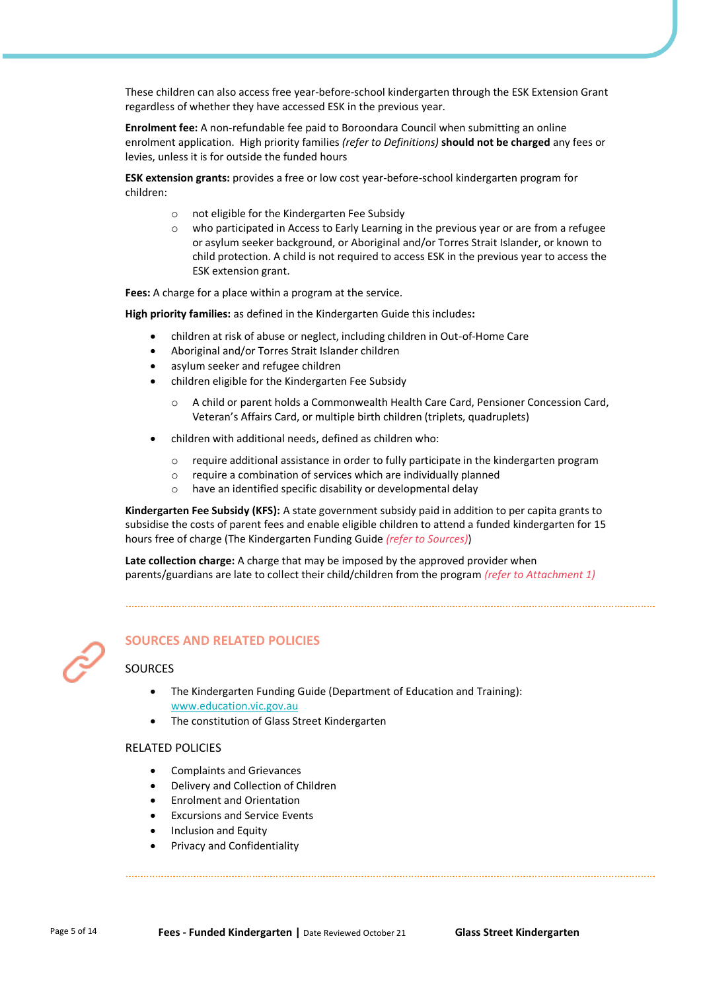These children can also access free year-before-school kindergarten through the ESK Extension Grant regardless of whether they have accessed ESK in the previous year.

**Enrolment fee:** A non-refundable fee paid to Boroondara Council when submitting an online enrolment application. High priority families *(refer to Definitions)* **should not be charged** any fees or levies, unless it is for outside the funded hours

**ESK extension grants:** provides a free or low cost year-before-school kindergarten program for children:

- o not eligible for the Kindergarten Fee Subsidy
- $\circ$  who participated in Access to Early Learning in the previous year or are from a refugee or asylum seeker background, or Aboriginal and/or Torres Strait Islander, or known to child protection. A child is not required to access ESK in the previous year to access the ESK extension grant.

**Fees:** A charge for a place within a program at the service.

**High priority families:** as defined in the Kindergarten Guide this includes**:**

- children at risk of abuse or neglect, including children in Out-of-Home Care
- Aboriginal and/or Torres Strait Islander children
- asylum seeker and refugee children
- children eligible for the Kindergarten Fee Subsidy
	- A child or parent holds a Commonwealth Health Care Card, Pensioner Concession Card, Veteran's Affairs Card, or multiple birth children (triplets, quadruplets)
- children with additional needs, defined as children who:
	- o require additional assistance in order to fully participate in the kindergarten program
	- o require a combination of services which are individually planned
	- o have an identified specific disability or developmental delay

**Kindergarten Fee Subsidy (KFS):** A state government subsidy paid in addition to per capita grants to subsidise the costs of parent fees and enable eligible children to attend a funded kindergarten for 15 hours free of charge (The Kindergarten Funding Guide *(refer to Sources)*)

**Late collection charge:** A charge that may be imposed by the approved provider when parents/guardians are late to collect their child/children from the program *(refer to Attachment 1)*

# **SOURCES AND RELATED POLICIES**

# **SOURCES**

- The Kindergarten Funding Guide (Department of Education and Training): [www.education.vic.gov.au](https://www.education.vic.gov.au/Pages/default.aspx)
- The constitution of Glass Street Kindergarten

#### RELATED POLICIES

- Complaints and Grievances
- Delivery and Collection of Children
- Enrolment and Orientation
- Excursions and Service Events
- Inclusion and Equity
- Privacy and Confidentiality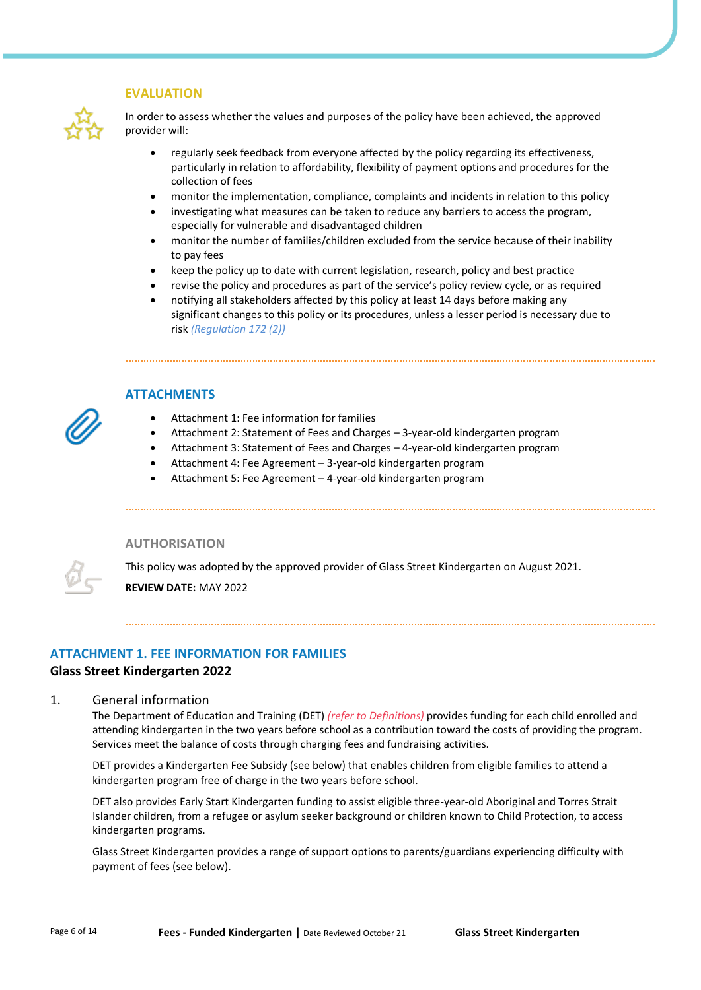#### **EVALUATION**



In order to assess whether the values and purposes of the policy have been achieved, the approved provider will:

- regularly seek feedback from everyone affected by the policy regarding its effectiveness, particularly in relation to affordability, flexibility of payment options and procedures for the collection of fees
- monitor the implementation, compliance, complaints and incidents in relation to this policy
- investigating what measures can be taken to reduce any barriers to access the program, especially for vulnerable and disadvantaged children
- monitor the number of families/children excluded from the service because of their inability to pay fees
- keep the policy up to date with current legislation, research, policy and best practice
- revise the policy and procedures as part of the service's policy review cycle, or as required
- notifying all stakeholders affected by this policy at least 14 days before making any significant changes to this policy or its procedures, unless a lesser period is necessary due to risk *(Regulation 172 (2))*



# **ATTACHMENTS**

- Attachment 1: Fee information for families
- Attachment 2: Statement of Fees and Charges 3-year-old kindergarten program
- Attachment 3: Statement of Fees and Charges 4-year-old kindergarten program
- Attachment 4: Fee Agreement 3-year-old kindergarten program
- Attachment 5: Fee Agreement 4-year-old kindergarten program

## **AUTHORISATION**



This policy was adopted by the approved provider of Glass Street Kindergarten on August 2021.

**REVIEW DATE:** MAY 2022

# **ATTACHMENT 1. FEE INFORMATION FOR FAMILIES Glass Street Kindergarten 2022**

## 1. General information

The Department of Education and Training (DET) *(refer to Definitions)* provides funding for each child enrolled and attending kindergarten in the two years before school as a contribution toward the costs of providing the program. Services meet the balance of costs through charging fees and fundraising activities.

DET provides a Kindergarten Fee Subsidy (see below) that enables children from eligible families to attend a kindergarten program free of charge in the two years before school.

DET also provides Early Start Kindergarten funding to assist eligible three-year-old Aboriginal and Torres Strait Islander children, from a refugee or asylum seeker background or children known to Child Protection, to access kindergarten programs.

Glass Street Kindergarten provides a range of support options to parents/guardians experiencing difficulty with payment of fees (see below).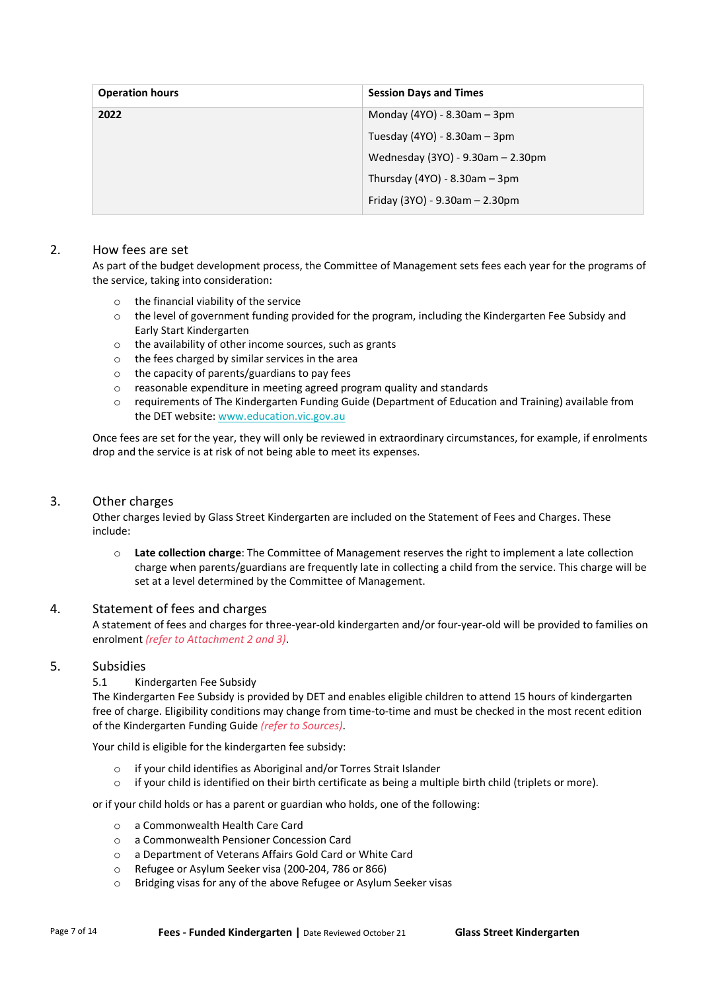| <b>Operation hours</b> | <b>Session Days and Times</b>       |
|------------------------|-------------------------------------|
| 2022                   | Monday $(4YO) - 8.30am - 3pm$       |
|                        | Tuesday (4YO) - 8.30am - 3pm        |
|                        | Wednesday (3YO) - 9.30am - 2.30pm   |
|                        | Thursday (4YO) - $8.30$ am - $3$ pm |
|                        | Friday (3YO) - 9.30am - 2.30pm      |

# 2. How fees are set

As part of the budget development process, the Committee of Management sets fees each year for the programs of the service, taking into consideration:

- o the financial viability of the service
- $\circ$  the level of government funding provided for the program, including the Kindergarten Fee Subsidy and Early Start Kindergarten
- o the availability of other income sources, such as grants
- o the fees charged by similar services in the area
- o the capacity of parents/guardians to pay fees
- o reasonable expenditure in meeting agreed program quality and standards
- o requirements of The Kindergarten Funding Guide (Department of Education and Training) available from the DET website[: www.education.vic.gov.au](https://www.education.vic.gov.au/Pages/default.aspx)

Once fees are set for the year, they will only be reviewed in extraordinary circumstances, for example, if enrolments drop and the service is at risk of not being able to meet its expenses.

# 3. Other charges

Other charges levied by Glass Street Kindergarten are included on the Statement of Fees and Charges. These include:

o **Late collection charge**: The Committee of Management reserves the right to implement a late collection charge when parents/guardians are frequently late in collecting a child from the service. This charge will be set at a level determined by the Committee of Management.

# 4. Statement of fees and charges

A statement of fees and charges for three-year-old kindergarten and/or four-year-old will be provided to families on enrolment *(refer to Attachment 2 and 3)*.

# 5. Subsidies

## 5.1 Kindergarten Fee Subsidy

The Kindergarten Fee Subsidy is provided by DET and enables eligible children to attend 15 hours of kindergarten free of charge. Eligibility conditions may change from time-to-time and must be checked in the most recent edition of the Kindergarten Funding Guide *(refer to Sources)*.

Your child is eligible for the kindergarten fee subsidy:

- o if your child identifies as Aboriginal and/or Torres Strait Islander
- $\circ$  if your child is identified on their birth certificate as being a multiple birth child (triplets or more).

or if your child holds or has a parent or guardian who holds, one of the following:

- o a Commonwealth Health Care Card
- o a Commonwealth Pensioner Concession Card
- o a Department of Veterans Affairs Gold Card or White Card
- o Refugee or Asylum Seeker visa (200-204, 786 or 866)
- o Bridging visas for any of the above Refugee or Asylum Seeker visas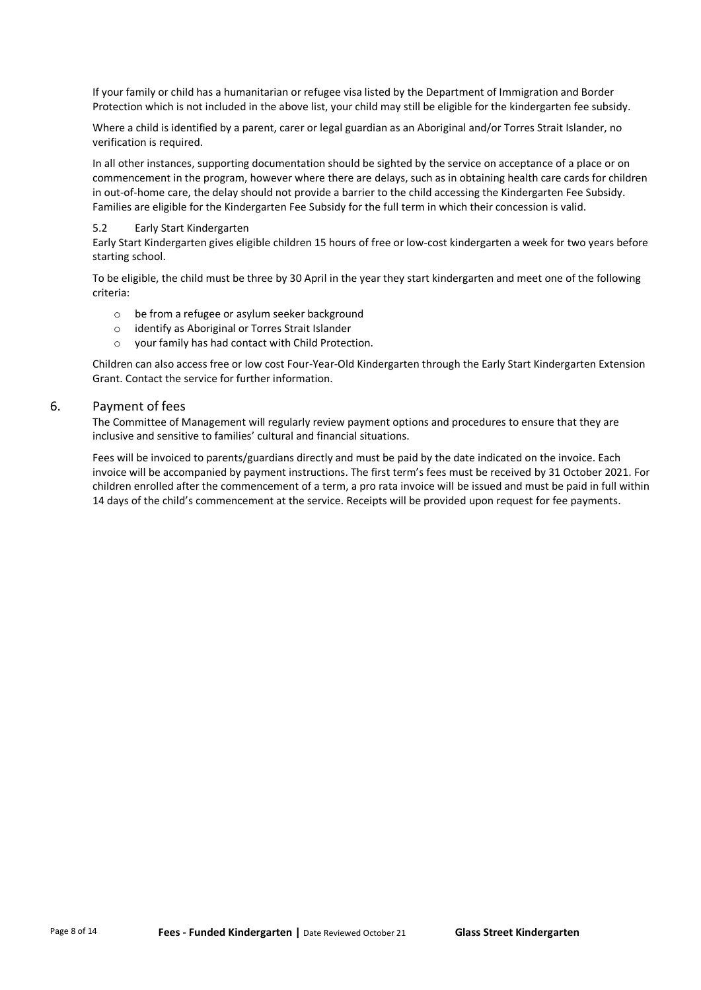If your family or child has a humanitarian or refugee visa listed by the Department of Immigration and Border Protection which is not included in the above list, your child may still be eligible for the kindergarten fee subsidy.

Where a child is identified by a parent, carer or legal guardian as an Aboriginal and/or Torres Strait Islander, no verification is required.

In all other instances, supporting documentation should be sighted by the service on acceptance of a place or on commencement in the program, however where there are delays, such as in obtaining health care cards for children in out-of-home care, the delay should not provide a barrier to the child accessing the Kindergarten Fee Subsidy. Families are eligible for the Kindergarten Fee Subsidy for the full term in which their concession is valid.

# 5.2 Early Start Kindergarten

Early Start Kindergarten gives eligible children 15 hours of free or low-cost kindergarten a week for two years before starting school.

To be eligible, the child must be three by 30 April in the year they start kindergarten and meet one of the following criteria:

- o be from a refugee or asylum seeker background
- o identify as Aboriginal or Torres Strait Islander
- o your family has had contact with Child Protection.

Children can also access free or low cost Four-Year-Old Kindergarten through the Early Start Kindergarten Extension Grant. Contact the service for further information.

# 6. Payment of fees

The Committee of Management will regularly review payment options and procedures to ensure that they are inclusive and sensitive to families' cultural and financial situations.

Fees will be invoiced to parents/guardians directly and must be paid by the date indicated on the invoice. Each invoice will be accompanied by payment instructions. The first term's fees must be received by 31 October 2021. For children enrolled after the commencement of a term, a pro rata invoice will be issued and must be paid in full within 14 days of the child's commencement at the service. Receipts will be provided upon request for fee payments.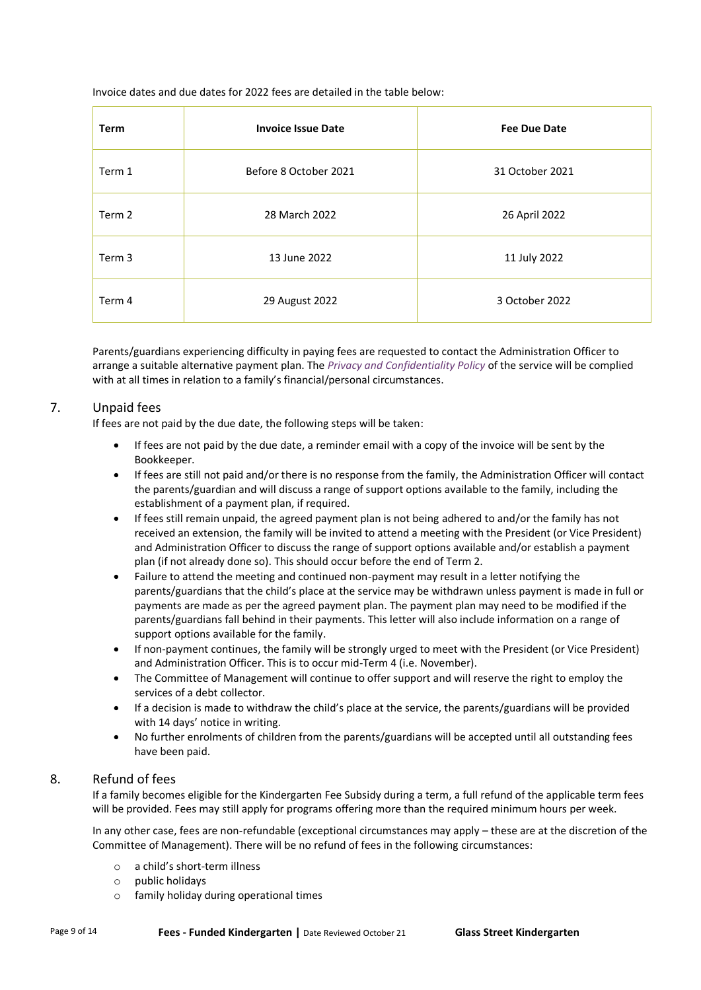Invoice dates and due dates for 2022 fees are detailed in the table below:

| <b>Term</b> | <b>Invoice Issue Date</b> | <b>Fee Due Date</b> |
|-------------|---------------------------|---------------------|
| Term 1      | Before 8 October 2021     | 31 October 2021     |
| Term 2      | 28 March 2022             | 26 April 2022       |
| Term 3      | 13 June 2022              | 11 July 2022        |
| Term 4      | 29 August 2022            | 3 October 2022      |

Parents/guardians experiencing difficulty in paying fees are requested to contact the Administration Officer to arrange a suitable alternative payment plan. The *Privacy and Confidentiality Policy* of the service will be complied with at all times in relation to a family's financial/personal circumstances.

# 7. Unpaid fees

If fees are not paid by the due date, the following steps will be taken:

- If fees are not paid by the due date, a reminder email with a copy of the invoice will be sent by the Bookkeeper.
- If fees are still not paid and/or there is no response from the family, the Administration Officer will contact the parents/guardian and will discuss a range of support options available to the family, including the establishment of a payment plan, if required.
- If fees still remain unpaid, the agreed payment plan is not being adhered to and/or the family has not received an extension, the family will be invited to attend a meeting with the President (or Vice President) and Administration Officer to discuss the range of support options available and/or establish a payment plan (if not already done so). This should occur before the end of Term 2.
- Failure to attend the meeting and continued non-payment may result in a letter notifying the parents/guardians that the child's place at the service may be withdrawn unless payment is made in full or payments are made as per the agreed payment plan. The payment plan may need to be modified if the parents/guardians fall behind in their payments. This letter will also include information on a range of support options available for the family.
- If non-payment continues, the family will be strongly urged to meet with the President (or Vice President) and Administration Officer. This is to occur mid-Term 4 (i.e. November).
- The Committee of Management will continue to offer support and will reserve the right to employ the services of a debt collector.
- If a decision is made to withdraw the child's place at the service, the parents/guardians will be provided with 14 days' notice in writing.
- No further enrolments of children from the parents/guardians will be accepted until all outstanding fees have been paid.

# 8. Refund of fees

If a family becomes eligible for the Kindergarten Fee Subsidy during a term, a full refund of the applicable term fees will be provided. Fees may still apply for programs offering more than the required minimum hours per week.

In any other case, fees are non-refundable (exceptional circumstances may apply – these are at the discretion of the Committee of Management). There will be no refund of fees in the following circumstances:

- o a child's short-term illness
- o public holidays
- o family holiday during operational times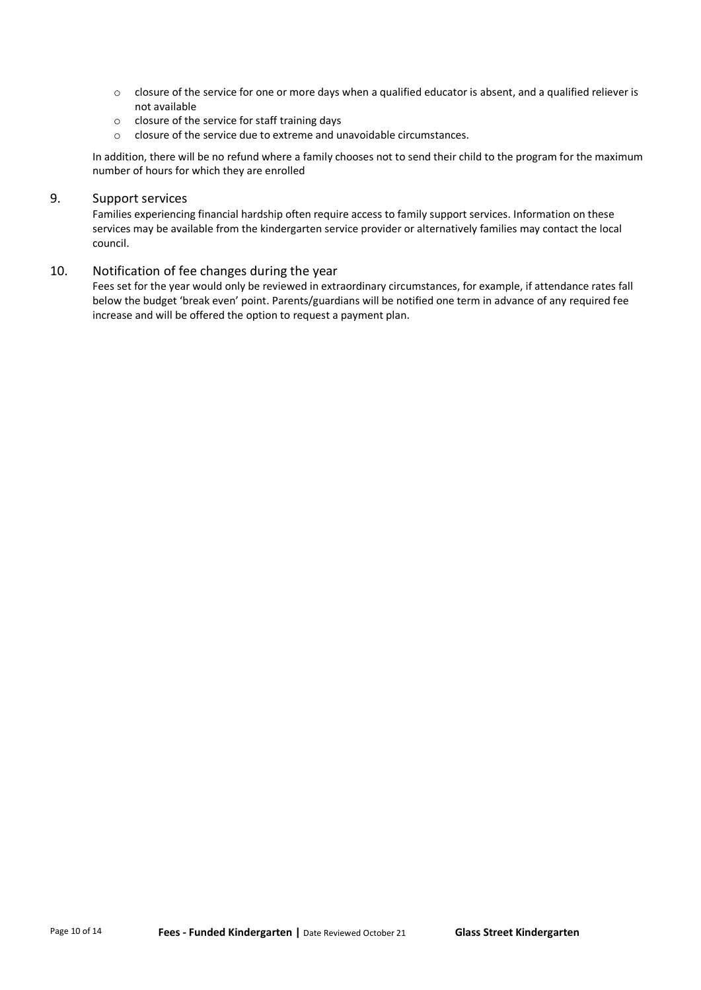- $\circ$  closure of the service for one or more days when a qualified educator is absent, and a qualified reliever is not available
- o closure of the service for staff training days
- o closure of the service due to extreme and unavoidable circumstances.

In addition, there will be no refund where a family chooses not to send their child to the program for the maximum number of hours for which they are enrolled

# 9. Support services

Families experiencing financial hardship often require access to family support services. Information on these services may be available from the kindergarten service provider or alternatively families may contact the local council.

# 10. Notification of fee changes during the year

Fees set for the year would only be reviewed in extraordinary circumstances, for example, if attendance rates fall below the budget 'break even' point. Parents/guardians will be notified one term in advance of any required fee increase and will be offered the option to request a payment plan.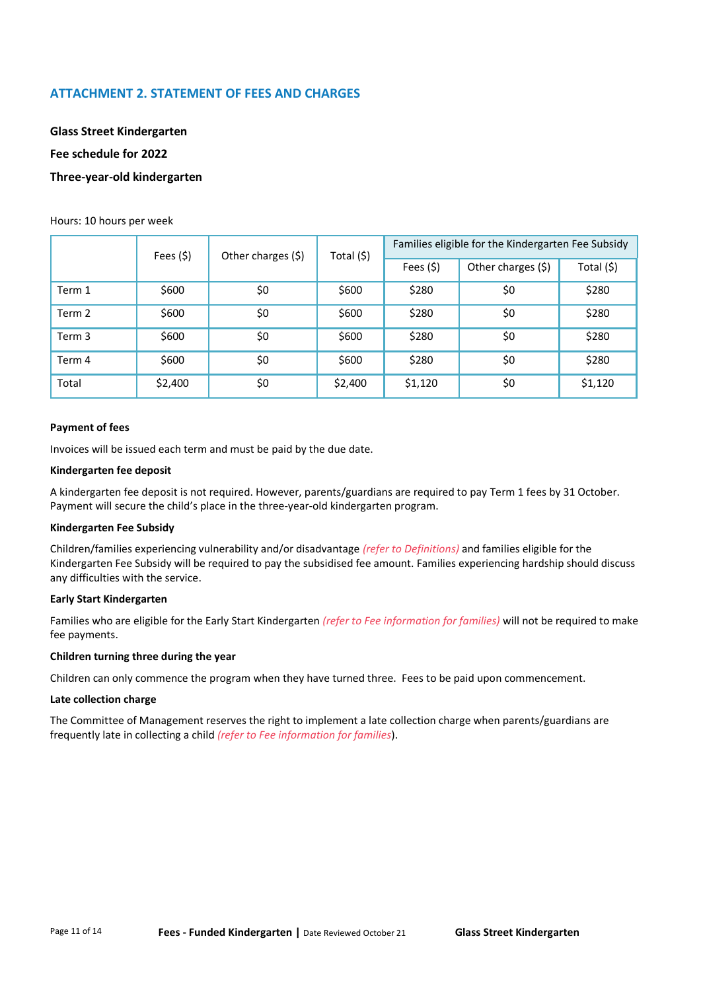# **ATTACHMENT 2. STATEMENT OF FEES AND CHARGES**

**Glass Street Kindergarten Fee schedule for 2022**

# **Three-year-old kindergarten**

#### Hours: 10 hours per week

|        | Fees $($ \$) | Other charges (\$) | Total (\$) | Families eligible for the Kindergarten Fee Subsidy |     |            |  |
|--------|--------------|--------------------|------------|----------------------------------------------------|-----|------------|--|
|        |              |                    |            | Other charges (\$)<br>Fees $(5)$                   |     | Total (\$) |  |
| Term 1 | \$600        | \$0                | \$600      | \$280                                              | \$0 | \$280      |  |
| Term 2 | \$600        | \$0                | \$600      | \$280                                              | \$0 | \$280      |  |
| Term 3 | \$600        | \$0                | \$600      | \$280                                              | \$0 | \$280      |  |
| Term 4 | \$600        | \$0                | \$600      | \$280                                              | \$0 | \$280      |  |
| Total  | \$2,400      | \$0                | \$2,400    | \$1,120                                            | \$0 | \$1,120    |  |

#### **Payment of fees**

Invoices will be issued each term and must be paid by the due date.

#### **Kindergarten fee deposit**

A kindergarten fee deposit is not required. However, parents/guardians are required to pay Term 1 fees by 31 October. Payment will secure the child's place in the three-year-old kindergarten program.

#### **Kindergarten Fee Subsidy**

Children/families experiencing vulnerability and/or disadvantage *(refer to Definitions)* and families eligible for the Kindergarten Fee Subsidy will be required to pay the subsidised fee amount. Families experiencing hardship should discuss any difficulties with the service.

#### **Early Start Kindergarten**

Families who are eligible for the Early Start Kindergarten *(refer to Fee information for families)* will not be required to make fee payments.

## **Children turning three during the year**

Children can only commence the program when they have turned three. Fees to be paid upon commencement.

#### **Late collection charge**

The Committee of Management reserves the right to implement a late collection charge when parents/guardians are frequently late in collecting a child *(refer to Fee information for families*).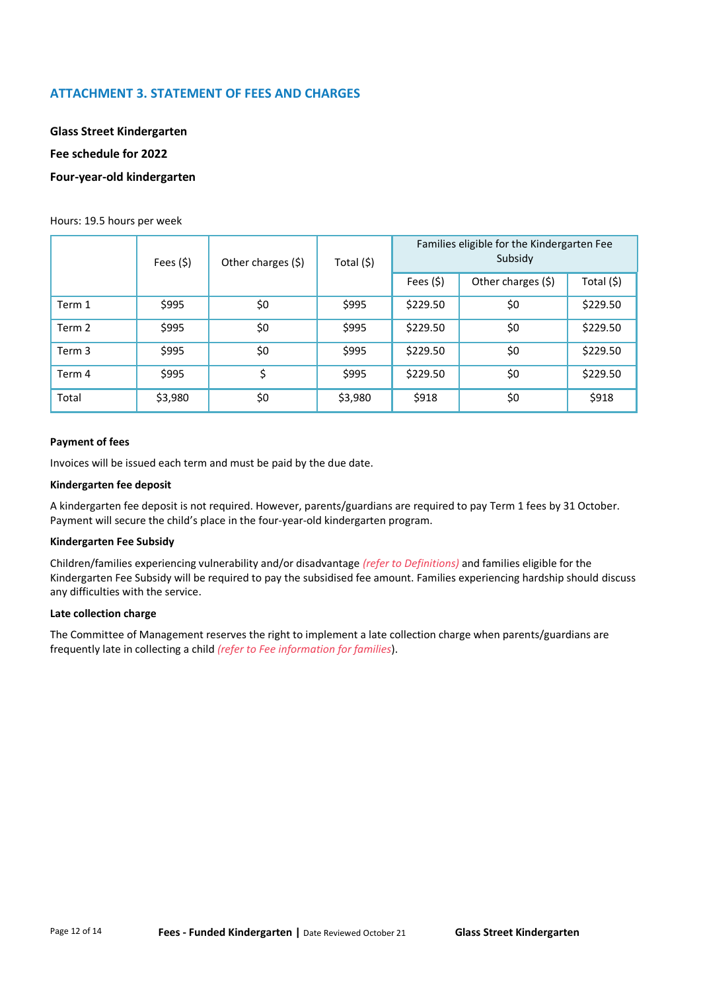# **ATTACHMENT 3. STATEMENT OF FEES AND CHARGES**

**Glass Street Kindergarten Fee schedule for 2022 Four-year-old kindergarten**

#### Hours: 19.5 hours per week

|        | Fees (\$) | Other charges (\$) | Total (\$) | Families eligible for the Kindergarten Fee<br>Subsidy |                    |            |  |  |
|--------|-----------|--------------------|------------|-------------------------------------------------------|--------------------|------------|--|--|
|        |           |                    |            | Fees $(5)$                                            | Other charges (\$) | Total (\$) |  |  |
| Term 1 | \$995     | \$0                | \$995      | \$229.50                                              | \$0                | \$229.50   |  |  |
| Term 2 | \$995     | \$0                | \$995      | \$229.50                                              | \$0                | \$229.50   |  |  |
| Term 3 | \$995     | \$0                | \$995      | \$229.50                                              | \$0                | \$229.50   |  |  |
| Term 4 | \$995     | \$                 | \$995      | \$229.50                                              | \$0                | \$229.50   |  |  |
| Total  | \$3,980   | \$0                | \$3,980    | \$918                                                 | \$0                | \$918      |  |  |

#### **Payment of fees**

Invoices will be issued each term and must be paid by the due date.

#### **Kindergarten fee deposit**

A kindergarten fee deposit is not required. However, parents/guardians are required to pay Term 1 fees by 31 October. Payment will secure the child's place in the four-year-old kindergarten program.

#### **Kindergarten Fee Subsidy**

Children/families experiencing vulnerability and/or disadvantage *(refer to Definitions)* and families eligible for the Kindergarten Fee Subsidy will be required to pay the subsidised fee amount. Families experiencing hardship should discuss any difficulties with the service.

#### **Late collection charge**

The Committee of Management reserves the right to implement a late collection charge when parents/guardians are frequently late in collecting a child *(refer to Fee information for families*).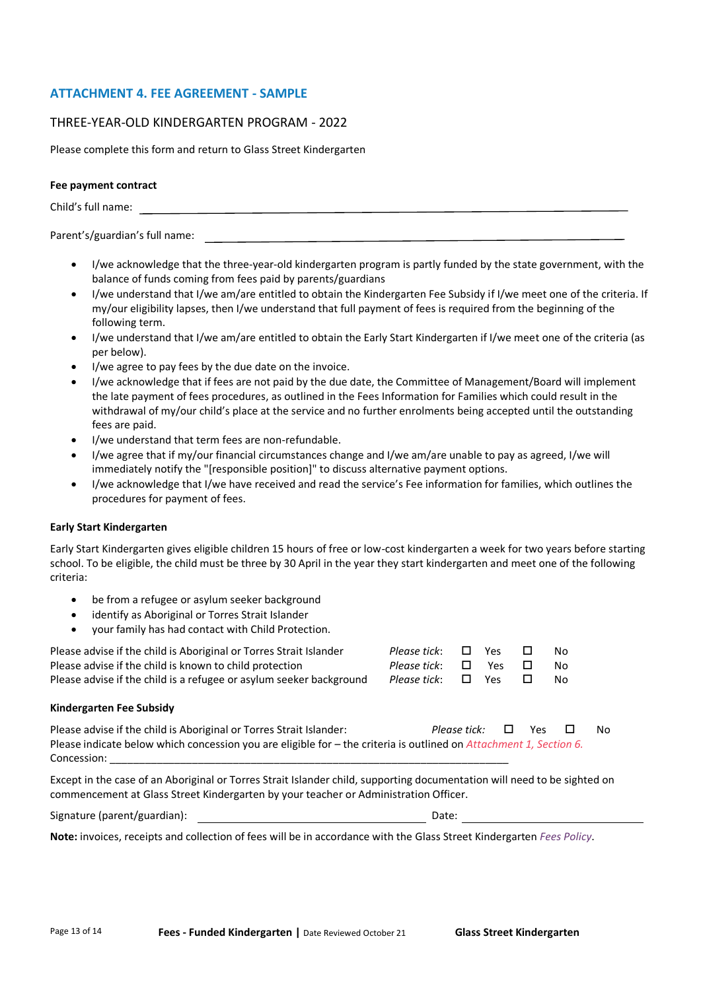# **ATTACHMENT 4. FEE AGREEMENT - SAMPLE**

# THREE-YEAR-OLD KINDERGARTEN PROGRAM - 2022

Please complete this form and return to Glass Street Kindergarten

#### **Fee payment contract**

Child's full name:

Parent's/guardian's full name:

- I/we acknowledge that the three-year-old kindergarten program is partly funded by the state government, with the balance of funds coming from fees paid by parents/guardians
- I/we understand that I/we am/are entitled to obtain the Kindergarten Fee Subsidy if I/we meet one of the criteria. If my/our eligibility lapses, then I/we understand that full payment of fees is required from the beginning of the following term.
- I/we understand that I/we am/are entitled to obtain the Early Start Kindergarten if I/we meet one of the criteria (as per below).
- I/we agree to pay fees by the due date on the invoice.
- I/we acknowledge that if fees are not paid by the due date, the Committee of Management/Board will implement the late payment of fees procedures, as outlined in the Fees Information for Families which could result in the withdrawal of my/our child's place at the service and no further enrolments being accepted until the outstanding fees are paid.
- I/we understand that term fees are non-refundable.
- I/we agree that if my/our financial circumstances change and I/we am/are unable to pay as agreed, I/we will immediately notify the "[responsible position]" to discuss alternative payment options.
- I/we acknowledge that I/we have received and read the service's Fee information for families, which outlines the procedures for payment of fees.

## **Early Start Kindergarten**

Early Start Kindergarten gives eligible children 15 hours of free or low-cost kindergarten a week for two years before starting school. To be eligible, the child must be three by 30 April in the year they start kindergarten and meet one of the following criteria:

- be from a refugee or asylum seeker background
- identify as Aboriginal or Torres Strait Islander
- your family has had contact with Child Protection.

| Please advise if the child is Aboriginal or Torres Strait Islander<br>Please advise if the child is known to child protection<br>Please advise if the child is a refugee or asylum seeker background | Please tick:<br>Please tick:<br>Please tick: $\Box$ Yes | $\Box$ | ⊟ Yes<br>Yes | $\Box$<br>$\sqcup$<br>ш | N٥<br>N٥<br>N٥ |
|------------------------------------------------------------------------------------------------------------------------------------------------------------------------------------------------------|---------------------------------------------------------|--------|--------------|-------------------------|----------------|
|                                                                                                                                                                                                      |                                                         |        |              |                         |                |

#### **Kindergarten Fee Subsidy**

| Please advise if the child is Aboriginal or Torres Strait Islander:                                                         | Please tick: $\Box$ | Yes | $\overline{\phantom{a}}$ | N∩ |
|-----------------------------------------------------------------------------------------------------------------------------|---------------------|-----|--------------------------|----|
| Please indicate below which concession you are eligible for $-$ the criteria is outlined on <i>Attachment 1, Section 6.</i> |                     |     |                          |    |
| Concession:                                                                                                                 |                     |     |                          |    |

Except in the case of an Aboriginal or Torres Strait Islander child, supporting documentation will need to be sighted on commencement at Glass Street Kindergarten by your teacher or Administration Officer.

| Signature (parent/guardian): | Date: |
|------------------------------|-------|
|                              |       |

**Note:** invoices, receipts and collection of fees will be in accordance with the Glass Street Kindergarten *Fees Policy*.